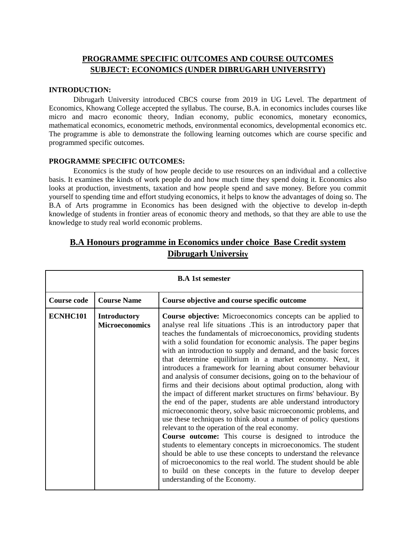### **PROGRAMME SPECIFIC OUTCOMES AND COURSE OUTCOMES SUBJECT: ECONOMICS (UNDER DIBRUGARH UNIVERSITY)**

#### **INTRODUCTION:**

Dibrugarh University introduced CBCS course from 2019 in UG Level. The department of Economics, Khowang College accepted the syllabus. The course, B.A. in economics includes courses like micro and macro economic theory, Indian economy, public economics, monetary economics, mathematical economics, econometric methods, environmental economics, developmental economics etc. The programme is able to demonstrate the following learning outcomes which are course specific and programmed specific outcomes.

### **PROGRAMME SPECIFIC OUTCOMES:**

Economics is the study of how people decide to use resources on an individual and a collective basis. It examines the kinds of work people do and how much time they spend doing it. Economics also looks at production, investments, taxation and how people spend and save money. Before you commit yourself to spending time and effort studying economics, it helps to know the advantages of doing so. The B.A of Arts programme in Economics has been designed with the objective to develop in-depth knowledge of students in frontier areas of economic theory and methods, so that they are able to use the knowledge to study real world economic problems.

| <b>B.A</b> 1st semester |                                              |                                                                                                                                                                                                                                                                                                                                                                                                                                                                                                                                                                                                                                                                                                                                                                                                                                                                                                                                                                                                                                                                                                                                                                                                                                                                                                                            |  |
|-------------------------|----------------------------------------------|----------------------------------------------------------------------------------------------------------------------------------------------------------------------------------------------------------------------------------------------------------------------------------------------------------------------------------------------------------------------------------------------------------------------------------------------------------------------------------------------------------------------------------------------------------------------------------------------------------------------------------------------------------------------------------------------------------------------------------------------------------------------------------------------------------------------------------------------------------------------------------------------------------------------------------------------------------------------------------------------------------------------------------------------------------------------------------------------------------------------------------------------------------------------------------------------------------------------------------------------------------------------------------------------------------------------------|--|
| <b>Course code</b>      | <b>Course Name</b>                           | Course objective and course specific outcome                                                                                                                                                                                                                                                                                                                                                                                                                                                                                                                                                                                                                                                                                                                                                                                                                                                                                                                                                                                                                                                                                                                                                                                                                                                                               |  |
| ECNHC101                | <b>Introductory</b><br><b>Microeconomics</b> | <b>Course objective:</b> Microeconomics concepts can be applied to<br>analyse real life situations. This is an introductory paper that<br>teaches the fundamentals of microeconomics, providing students<br>with a solid foundation for economic analysis. The paper begins<br>with an introduction to supply and demand, and the basic forces<br>that determine equilibrium in a market economy. Next, it<br>introduces a framework for learning about consumer behaviour<br>and analysis of consumer decisions, going on to the behaviour of<br>firms and their decisions about optimal production, along with<br>the impact of different market structures on firms' behaviour. By<br>the end of the paper, students are able understand introductory<br>microeconomic theory, solve basic microeconomic problems, and<br>use these techniques to think about a number of policy questions<br>relevant to the operation of the real economy.<br><b>Course outcome:</b> This course is designed to introduce the<br>students to elementary concepts in microeconomics. The student<br>should be able to use these concepts to understand the relevance<br>of microeconomics to the real world. The student should be able<br>to build on these concepts in the future to develop deeper<br>understanding of the Economy. |  |

## **B.A Honours programme in Economics under choice Base Credit system Dibrugarh University**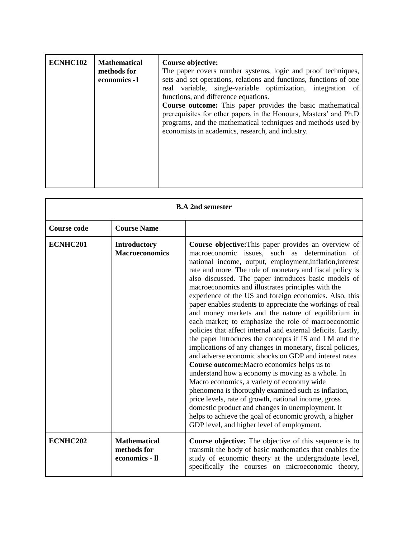| ECNHC102 | <b>Mathematical</b><br>methods for<br>economics -1 | Course objective:<br>The paper covers number systems, logic and proof techniques,<br>sets and set operations, relations and functions, functions of one<br>real variable, single-variable optimization, integration of<br>functions, and difference equations.<br>Course outcome: This paper provides the basic mathematical<br>prerequisites for other papers in the Honours, Masters' and Ph.D<br>programs, and the mathematical techniques and methods used by<br>economists in academics, research, and industry. |
|----------|----------------------------------------------------|-----------------------------------------------------------------------------------------------------------------------------------------------------------------------------------------------------------------------------------------------------------------------------------------------------------------------------------------------------------------------------------------------------------------------------------------------------------------------------------------------------------------------|
|          |                                                    |                                                                                                                                                                                                                                                                                                                                                                                                                                                                                                                       |

| <b>B.A 2nd semester</b> |                                                      |                                                                                                                                                                                                                                                                                                                                                                                                                                                                                                                                                                                                                                                                                                                                                                                                                                                                                                                                                                                                                                                                                                                                                                                                                                                                      |
|-------------------------|------------------------------------------------------|----------------------------------------------------------------------------------------------------------------------------------------------------------------------------------------------------------------------------------------------------------------------------------------------------------------------------------------------------------------------------------------------------------------------------------------------------------------------------------------------------------------------------------------------------------------------------------------------------------------------------------------------------------------------------------------------------------------------------------------------------------------------------------------------------------------------------------------------------------------------------------------------------------------------------------------------------------------------------------------------------------------------------------------------------------------------------------------------------------------------------------------------------------------------------------------------------------------------------------------------------------------------|
| <b>Course code</b>      | <b>Course Name</b>                                   |                                                                                                                                                                                                                                                                                                                                                                                                                                                                                                                                                                                                                                                                                                                                                                                                                                                                                                                                                                                                                                                                                                                                                                                                                                                                      |
| ECNHC201                | Introductory<br><b>Macroeconomics</b>                | <b>Course objective:</b> This paper provides an overview of<br>macroeconomic issues, such as determination of<br>national income, output, employment, inflation, interest<br>rate and more. The role of monetary and fiscal policy is<br>also discussed. The paper introduces basic models of<br>macroeconomics and illustrates principles with the<br>experience of the US and foreign economies. Also, this<br>paper enables students to appreciate the workings of real<br>and money markets and the nature of equilibrium in<br>each market; to emphasize the role of macroeconomic<br>policies that affect internal and external deficits. Lastly,<br>the paper introduces the concepts if IS and LM and the<br>implications of any changes in monetary, fiscal policies,<br>and adverse economic shocks on GDP and interest rates<br>Course outcome: Macro economics helps us to<br>understand how a economy is moving as a whole. In<br>Macro economics, a variety of economy wide<br>phenomena is thoroughly examined such as inflation,<br>price levels, rate of growth, national income, gross<br>domestic product and changes in unemployment. It<br>helps to achieve the goal of economic growth, a higher<br>GDP level, and higher level of employment. |
| ECNHC202                | <b>Mathematical</b><br>methods for<br>economics - Il | <b>Course objective:</b> The objective of this sequence is to<br>transmit the body of basic mathematics that enables the<br>study of economic theory at the undergraduate level,<br>specifically the courses on microeconomic theory,                                                                                                                                                                                                                                                                                                                                                                                                                                                                                                                                                                                                                                                                                                                                                                                                                                                                                                                                                                                                                                |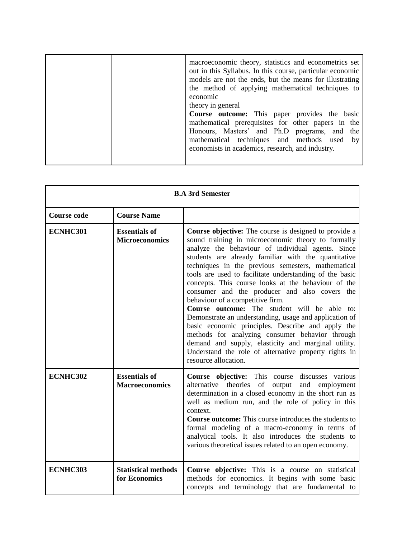|  | macroeconomic theory, statistics and econometrics set<br>out in this Syllabus. In this course, particular economic<br>models are not the ends, but the means for illustrating<br>the method of applying mathematical techniques to<br>economic<br>theory in general<br>Course outcome: This paper provides the basic<br>mathematical prerequisites for other papers in the<br>Honours, Masters' and Ph.D programs, and the<br>mathematical techniques and methods used by<br>economists in academics, research, and industry. |
|--|-------------------------------------------------------------------------------------------------------------------------------------------------------------------------------------------------------------------------------------------------------------------------------------------------------------------------------------------------------------------------------------------------------------------------------------------------------------------------------------------------------------------------------|
|  |                                                                                                                                                                                                                                                                                                                                                                                                                                                                                                                               |

| <b>B.A 3rd Semester</b> |                                               |                                                                                                                                                                                                                                                                                                                                                                                                                                                                                                                                                                                                                                                                                                                                                                                                                                                       |
|-------------------------|-----------------------------------------------|-------------------------------------------------------------------------------------------------------------------------------------------------------------------------------------------------------------------------------------------------------------------------------------------------------------------------------------------------------------------------------------------------------------------------------------------------------------------------------------------------------------------------------------------------------------------------------------------------------------------------------------------------------------------------------------------------------------------------------------------------------------------------------------------------------------------------------------------------------|
| <b>Course code</b>      | <b>Course Name</b>                            |                                                                                                                                                                                                                                                                                                                                                                                                                                                                                                                                                                                                                                                                                                                                                                                                                                                       |
| ECNHC301                | <b>Essentials of</b><br><b>Microeconomics</b> | Course objective: The course is designed to provide a<br>sound training in microeconomic theory to formally<br>analyze the behaviour of individual agents. Since<br>students are already familiar with the quantitative<br>techniques in the previous semesters, mathematical<br>tools are used to facilitate understanding of the basic<br>concepts. This course looks at the behaviour of the<br>consumer and the producer and also covers the<br>behaviour of a competitive firm.<br><b>Course outcome:</b> The student will be able to:<br>Demonstrate an understanding, usage and application of<br>basic economic principles. Describe and apply the<br>methods for analyzing consumer behavior through<br>demand and supply, elasticity and marginal utility.<br>Understand the role of alternative property rights in<br>resource allocation. |
| ECNHC302                | <b>Essentials of</b><br><b>Macroeconomics</b> | Course objective: This course discusses various<br>alternative<br>theories<br>of<br>and<br>output<br>employment<br>determination in a closed economy in the short run as<br>well as medium run, and the role of policy in this<br>context.<br><b>Course outcome:</b> This course introduces the students to<br>formal modeling of a macro-economy in terms of<br>analytical tools. It also introduces the students to<br>various theoretical issues related to an open economy.                                                                                                                                                                                                                                                                                                                                                                       |
| ECNHC303                | <b>Statistical methods</b><br>for Economics   | Course objective: This is a course on statistical<br>methods for economics. It begins with some basic<br>concepts and terminology that are fundamental to                                                                                                                                                                                                                                                                                                                                                                                                                                                                                                                                                                                                                                                                                             |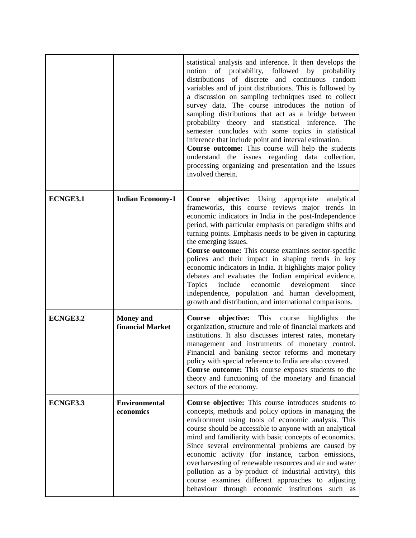|                 |                                      | statistical analysis and inference. It then develops the<br>probability,<br>followed<br>by probability<br>notion<br>of<br>distributions of discrete and continuous random<br>variables and of joint distributions. This is followed by<br>a discussion on sampling techniques used to collect<br>survey data. The course introduces the notion of<br>sampling distributions that act as a bridge between<br>probability theory and statistical inference. The<br>semester concludes with some topics in statistical<br>inference that include point and interval estimation.<br>Course outcome: This course will help the students<br>understand the issues regarding data collection,<br>processing organizing and presentation and the issues<br>involved therein. |
|-----------------|--------------------------------------|----------------------------------------------------------------------------------------------------------------------------------------------------------------------------------------------------------------------------------------------------------------------------------------------------------------------------------------------------------------------------------------------------------------------------------------------------------------------------------------------------------------------------------------------------------------------------------------------------------------------------------------------------------------------------------------------------------------------------------------------------------------------|
| ECNGE3.1        | <b>Indian Economy-1</b>              | Course objective: Using appropriate analytical<br>frameworks, this course reviews major trends in<br>economic indicators in India in the post-Independence<br>period, with particular emphasis on paradigm shifts and<br>turning points. Emphasis needs to be given in capturing<br>the emerging issues.<br><b>Course outcome:</b> This course examines sector-specific<br>polices and their impact in shaping trends in key<br>economic indicators in India. It highlights major policy<br>debates and evaluates the Indian empirical evidence.<br>Topics<br>include<br>development<br>economic<br>since<br>independence, population and human development,<br>growth and distribution, and international comparisons.                                              |
| <b>ECNGE3.2</b> | <b>Money</b> and<br>financial Market | objective: This course<br>highlights<br>Course<br>the<br>organization, structure and role of financial markets and<br>institutions. It also discusses interest rates, monetary<br>management and instruments of monetary control.<br>Financial and banking sector reforms and monetary<br>policy with special reference to India are also covered.<br>Course outcome: This course exposes students to the<br>theory and functioning of the monetary and financial<br>sectors of the economy.                                                                                                                                                                                                                                                                         |
| ECNGE3.3        | <b>Environmental</b><br>economics    | Course objective: This course introduces students to<br>concepts, methods and policy options in managing the<br>environment using tools of economic analysis. This<br>course should be accessible to anyone with an analytical<br>mind and familiarity with basic concepts of economics.<br>Since several environmental problems are caused by<br>economic activity (for instance, carbon emissions,<br>overharvesting of renewable resources and air and water<br>pollution as a by-product of industrial activity), this<br>course examines different approaches to adjusting<br>behaviour through economic institutions<br>such as                                                                                                                                |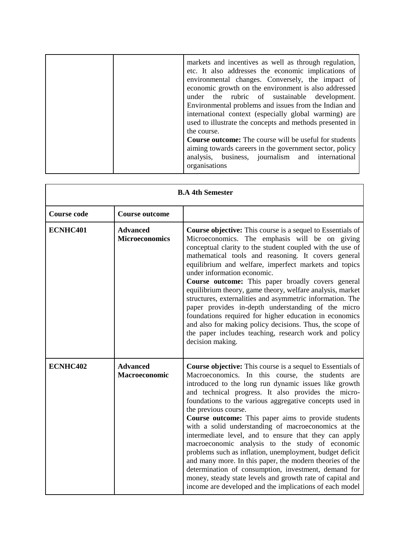|  | markets and incentives as well as through regulation,<br>etc. It also addresses the economic implications of<br>environmental changes. Conversely, the impact of<br>economic growth on the environment is also addressed<br>under the rubric of sustainable development.<br>Environmental problems and issues from the Indian and<br>international context (especially global warming) are<br>used to illustrate the concepts and methods presented in<br>the course.<br><b>Course outcome:</b> The course will be useful for students<br>aiming towards careers in the government sector, policy<br>analysis, business, journalism and international<br>organisations |
|--|------------------------------------------------------------------------------------------------------------------------------------------------------------------------------------------------------------------------------------------------------------------------------------------------------------------------------------------------------------------------------------------------------------------------------------------------------------------------------------------------------------------------------------------------------------------------------------------------------------------------------------------------------------------------|
|--|------------------------------------------------------------------------------------------------------------------------------------------------------------------------------------------------------------------------------------------------------------------------------------------------------------------------------------------------------------------------------------------------------------------------------------------------------------------------------------------------------------------------------------------------------------------------------------------------------------------------------------------------------------------------|

| <b>B.A 4th Semester</b> |                                          |                                                                                                                                                                                                                                                                                                                                                                                                                                                                                                                                                                                                                                                                                                                                                                                                                                                               |
|-------------------------|------------------------------------------|---------------------------------------------------------------------------------------------------------------------------------------------------------------------------------------------------------------------------------------------------------------------------------------------------------------------------------------------------------------------------------------------------------------------------------------------------------------------------------------------------------------------------------------------------------------------------------------------------------------------------------------------------------------------------------------------------------------------------------------------------------------------------------------------------------------------------------------------------------------|
| <b>Course code</b>      | <b>Course outcome</b>                    |                                                                                                                                                                                                                                                                                                                                                                                                                                                                                                                                                                                                                                                                                                                                                                                                                                                               |
| ECNHC401                | <b>Advanced</b><br><b>Microeconomics</b> | <b>Course objective:</b> This course is a sequel to Essentials of<br>Microeconomics. The emphasis will be on giving<br>conceptual clarity to the student coupled with the use of<br>mathematical tools and reasoning. It covers general<br>equilibrium and welfare, imperfect markets and topics<br>under information economic.<br>Course outcome: This paper broadly covers general<br>equilibrium theory, game theory, welfare analysis, market<br>structures, externalities and asymmetric information. The<br>paper provides in-depth understanding of the micro<br>foundations required for higher education in economics<br>and also for making policy decisions. Thus, the scope of<br>the paper includes teaching, research work and policy<br>decision making.                                                                                       |
| ECNHC402                | <b>Advanced</b><br><b>Macroeconomic</b>  | <b>Course objective:</b> This course is a sequel to Essentials of<br>Macroeconomics. In this course, the students<br>are<br>introduced to the long run dynamic issues like growth<br>and technical progress. It also provides the micro-<br>foundations to the various aggregative concepts used in<br>the previous course.<br>Course outcome: This paper aims to provide students<br>with a solid understanding of macroeconomics at the<br>intermediate level, and to ensure that they can apply<br>macroeconomic analysis to the study of economic<br>problems such as inflation, unemployment, budget deficit<br>and many more. In this paper, the modern theories of the<br>determination of consumption, investment, demand for<br>money, steady state levels and growth rate of capital and<br>income are developed and the implications of each model |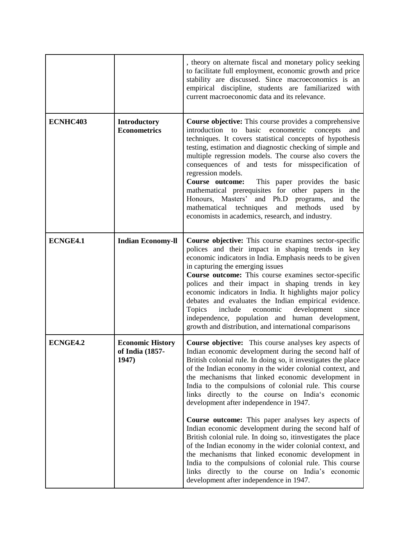|          |                                                     | , theory on alternate fiscal and monetary policy seeking<br>to facilitate full employment, economic growth and price<br>stability are discussed. Since macroeconomics is an<br>empirical discipline, students are familiarized with<br>current macroeconomic data and its relevance.                                                                                                                                                                                                                                                                                                                                                                            |
|----------|-----------------------------------------------------|-----------------------------------------------------------------------------------------------------------------------------------------------------------------------------------------------------------------------------------------------------------------------------------------------------------------------------------------------------------------------------------------------------------------------------------------------------------------------------------------------------------------------------------------------------------------------------------------------------------------------------------------------------------------|
| ECNHC403 | <b>Introductory</b><br><b>Econometrics</b>          | <b>Course objective:</b> This course provides a comprehensive<br>introduction to basic econometric concepts<br>and<br>techniques. It covers statistical concepts of hypothesis<br>testing, estimation and diagnostic checking of simple and<br>multiple regression models. The course also covers the<br>consequences of and tests for misspecification of<br>regression models.<br>Course outcome:<br>This paper provides the basic<br>mathematical prerequisites for other papers in the<br>Honours, Masters' and Ph.D programs,<br>and<br>the<br>mathematical techniques<br>and<br>methods<br>used<br>by<br>economists in academics, research, and industry. |
| ECNGE4.1 | <b>Indian Economy-II</b>                            | Course objective: This course examines sector-specific<br>polices and their impact in shaping trends in key<br>economic indicators in India. Emphasis needs to be given<br>in capturing the emerging issues<br>Course outcome: This course examines sector-specific<br>polices and their impact in shaping trends in key<br>economic indicators in India. It highlights major policy<br>debates and evaluates the Indian empirical evidence.<br>include<br><b>Topics</b><br>economic<br>development<br>since<br>independence, population and human development,<br>growth and distribution, and international comparisons                                       |
| ECNGE4.2 | <b>Economic History</b><br>of India (1857-<br>1947) | Course objective: This course analyses key aspects of<br>Indian economic development during the second half of<br>British colonial rule. In doing so, it investigates the place<br>of the Indian economy in the wider colonial context, and<br>the mechanisms that linked economic development in<br>India to the compulsions of colonial rule. This course<br>links directly to the course on India's economic<br>development after independence in 1947.                                                                                                                                                                                                      |
|          |                                                     | <b>Course outcome:</b> This paper analyses key aspects of<br>Indian economic development during the second half of<br>British colonial rule. In doing so, it investigates the place<br>of the Indian economy in the wider colonial context, and<br>the mechanisms that linked economic development in<br>India to the compulsions of colonial rule. This course<br>links directly to the course on India's economic<br>development after independence in 1947.                                                                                                                                                                                                  |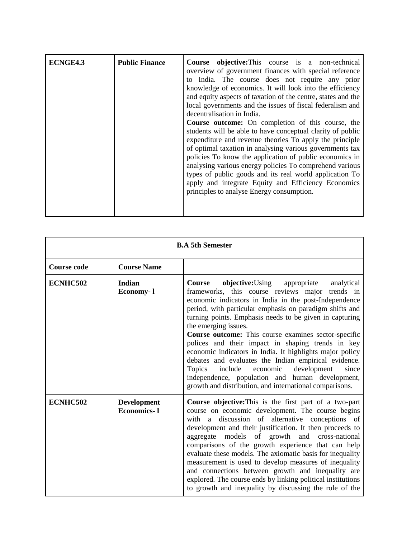| <b>Public Finance</b><br>ECNGE4.3 | Course objective: This course is a non-technical<br>overview of government finances with special reference<br>to India. The course does not require any prior<br>knowledge of economics. It will look into the efficiency<br>and equity aspects of taxation of the centre, states and the<br>local governments and the issues of fiscal federalism and<br>decentralisation in India.<br><b>Course outcome:</b> On completion of this course, the<br>students will be able to have conceptual clarity of public<br>expenditure and revenue theories To apply the principle<br>of optimal taxation in analysing various governments tax<br>policies To know the application of public economics in<br>analysing various energy policies To comprehend various<br>types of public goods and its real world application To<br>apply and integrate Equity and Efficiency Economics<br>principles to analyse Energy consumption. |
|-----------------------------------|----------------------------------------------------------------------------------------------------------------------------------------------------------------------------------------------------------------------------------------------------------------------------------------------------------------------------------------------------------------------------------------------------------------------------------------------------------------------------------------------------------------------------------------------------------------------------------------------------------------------------------------------------------------------------------------------------------------------------------------------------------------------------------------------------------------------------------------------------------------------------------------------------------------------------|
|-----------------------------------|----------------------------------------------------------------------------------------------------------------------------------------------------------------------------------------------------------------------------------------------------------------------------------------------------------------------------------------------------------------------------------------------------------------------------------------------------------------------------------------------------------------------------------------------------------------------------------------------------------------------------------------------------------------------------------------------------------------------------------------------------------------------------------------------------------------------------------------------------------------------------------------------------------------------------|

| <b>B.A 5th Semester</b> |                                          |                                                                                                                                                                                                                                                                                                                                                                                                                                                                                                                                                                                                                                                                                                                                    |
|-------------------------|------------------------------------------|------------------------------------------------------------------------------------------------------------------------------------------------------------------------------------------------------------------------------------------------------------------------------------------------------------------------------------------------------------------------------------------------------------------------------------------------------------------------------------------------------------------------------------------------------------------------------------------------------------------------------------------------------------------------------------------------------------------------------------|
| <b>Course code</b>      | <b>Course Name</b>                       |                                                                                                                                                                                                                                                                                                                                                                                                                                                                                                                                                                                                                                                                                                                                    |
| ECNHC502                | Indian<br>Economy-1                      | objective:Using<br>appropriate<br>analytical<br><b>Course</b><br>frameworks, this course reviews major<br>trends in<br>economic indicators in India in the post-Independence<br>period, with particular emphasis on paradigm shifts and<br>turning points. Emphasis needs to be given in capturing<br>the emerging issues.<br>Course outcome: This course examines sector-specific<br>polices and their impact in shaping trends in key<br>economic indicators in India. It highlights major policy<br>debates and evaluates the Indian empirical evidence.<br>economic<br>development<br>Topics<br>include<br>since<br>independence, population and human development,<br>growth and distribution, and international comparisons. |
| ECNHC502                | <b>Development</b><br><b>Economics-1</b> | Course objective: This is the first part of a two-part<br>course on economic development. The course begins<br>discussion of alternative conceptions of<br>with a<br>development and their justification. It then proceeds to<br>models of growth and cross-national<br>aggregate<br>comparisons of the growth experience that can help<br>evaluate these models. The axiomatic basis for inequality<br>measurement is used to develop measures of inequality<br>and connections between growth and inequality are<br>explored. The course ends by linking political institutions<br>to growth and inequality by discussing the role of the                                                                                        |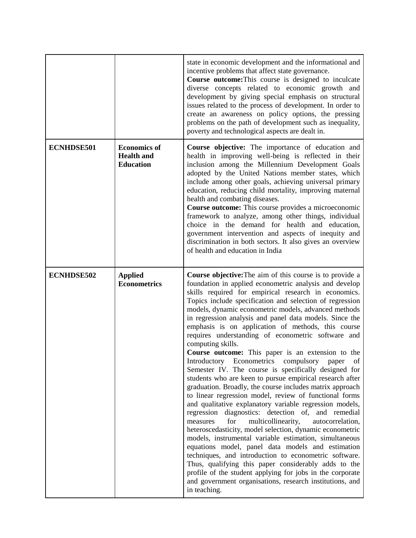|                   |                                                              | state in economic development and the informational and<br>incentive problems that affect state governance.<br>Course outcome: This course is designed to inculcate<br>diverse concepts related to economic growth and<br>development by giving special emphasis on structural<br>issues related to the process of development. In order to<br>create an awareness on policy options, the pressing<br>problems on the path of development such as inequality,<br>poverty and technological aspects are dealt in.                                                                                                                                                                                                                                                                                                                                                                                                                                                                                                                                                                                                                                                                                                                                                                                                                                                                                                                                                                  |
|-------------------|--------------------------------------------------------------|-----------------------------------------------------------------------------------------------------------------------------------------------------------------------------------------------------------------------------------------------------------------------------------------------------------------------------------------------------------------------------------------------------------------------------------------------------------------------------------------------------------------------------------------------------------------------------------------------------------------------------------------------------------------------------------------------------------------------------------------------------------------------------------------------------------------------------------------------------------------------------------------------------------------------------------------------------------------------------------------------------------------------------------------------------------------------------------------------------------------------------------------------------------------------------------------------------------------------------------------------------------------------------------------------------------------------------------------------------------------------------------------------------------------------------------------------------------------------------------|
| <b>ECNHDSE501</b> | <b>Economics of</b><br><b>Health and</b><br><b>Education</b> | <b>Course objective:</b> The importance of education and<br>health in improving well-being is reflected in their<br>inclusion among the Millennium Development Goals<br>adopted by the United Nations member states, which<br>include among other goals, achieving universal primary<br>education, reducing child mortality, improving maternal<br>health and combating diseases.<br><b>Course outcome:</b> This course provides a microeconomic<br>framework to analyze, among other things, individual<br>choice in the demand for health and education,<br>government intervention and aspects of inequity and<br>discrimination in both sectors. It also gives an overview<br>of health and education in India                                                                                                                                                                                                                                                                                                                                                                                                                                                                                                                                                                                                                                                                                                                                                                |
| <b>ECNHDSE502</b> | <b>Applied</b><br><b>Econometrics</b>                        | <b>Course objective:</b> The aim of this course is to provide a<br>foundation in applied econometric analysis and develop<br>skills required for empirical research in economics.<br>Topics include specification and selection of regression<br>models, dynamic econometric models, advanced methods<br>in regression analysis and panel data models. Since the<br>emphasis is on application of methods, this course<br>requires understanding of econometric software and<br>computing skills.<br><b>Course outcome:</b> This paper is an extension to the<br>Introductory Econometrics compulsory<br>of<br>paper<br>Semester IV. The course is specifically designed for<br>students who are keen to pursue empirical research after<br>graduation. Broadly, the course includes matrix approach<br>to linear regression model, review of functional forms<br>and qualitative explanatory variable regression models,<br>regression diagnostics: detection of, and remedial<br>for<br>multicollinearity,<br>measures<br>autocorrelation,<br>heteroscedasticity, model selection, dynamic econometric<br>models, instrumental variable estimation, simultaneous<br>equations model, panel data models and estimation<br>techniques, and introduction to econometric software.<br>Thus, qualifying this paper considerably adds to the<br>profile of the student applying for jobs in the corporate<br>and government organisations, research institutions, and<br>in teaching. |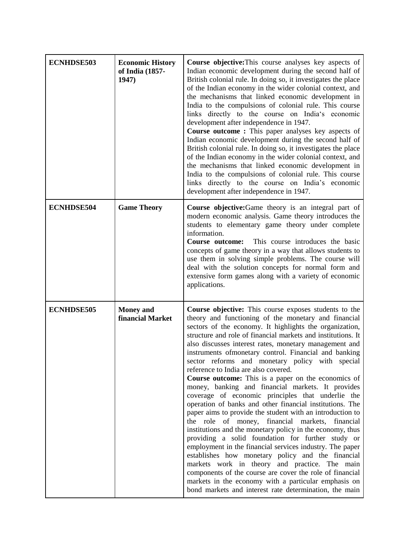| <b>ECNHDSE503</b> | <b>Economic History</b><br>of India (1857-<br>1947) | <b>Course objective:</b> This course analyses key aspects of<br>Indian economic development during the second half of<br>British colonial rule. In doing so, it investigates the place<br>of the Indian economy in the wider colonial context, and<br>the mechanisms that linked economic development in<br>India to the compulsions of colonial rule. This course<br>links directly to the course on India's economic<br>development after independence in 1947.<br><b>Course outcome :</b> This paper analyses key aspects of<br>Indian economic development during the second half of<br>British colonial rule. In doing so, it investigates the place<br>of the Indian economy in the wider colonial context, and<br>the mechanisms that linked economic development in<br>India to the compulsions of colonial rule. This course<br>links directly to the course on India's economic<br>development after independence in 1947.                                                                                                                                                                                                                                                                                                                                         |
|-------------------|-----------------------------------------------------|------------------------------------------------------------------------------------------------------------------------------------------------------------------------------------------------------------------------------------------------------------------------------------------------------------------------------------------------------------------------------------------------------------------------------------------------------------------------------------------------------------------------------------------------------------------------------------------------------------------------------------------------------------------------------------------------------------------------------------------------------------------------------------------------------------------------------------------------------------------------------------------------------------------------------------------------------------------------------------------------------------------------------------------------------------------------------------------------------------------------------------------------------------------------------------------------------------------------------------------------------------------------------|
| <b>ECNHDSE504</b> | <b>Game Theory</b>                                  | Course objective: Game theory is an integral part of<br>modern economic analysis. Game theory introduces the<br>students to elementary game theory under complete<br>information.<br>This course introduces the basic<br>Course outcome:<br>concepts of game theory in a way that allows students to<br>use them in solving simple problems. The course will<br>deal with the solution concepts for normal form and<br>extensive form games along with a variety of economic<br>applications.                                                                                                                                                                                                                                                                                                                                                                                                                                                                                                                                                                                                                                                                                                                                                                                |
| <b>ECNHDSE505</b> | <b>Money</b> and<br>financial Market                | Course objective: This course exposes students to the<br>theory and functioning of the monetary and financial<br>sectors of the economy. It highlights the organization,<br>structure and role of financial markets and institutions. It<br>also discusses interest rates, monetary management and<br>instruments ofmonetary control. Financial and banking<br>sector reforms and monetary policy with special<br>reference to India are also covered.<br><b>Course outcome:</b> This is a paper on the economics of<br>money, banking and financial markets. It provides<br>coverage of economic principles that underlie the<br>operation of banks and other financial institutions. The<br>paper aims to provide the student with an introduction to<br>the role of money, financial markets, financial<br>institutions and the monetary policy in the economy, thus<br>providing a solid foundation for further study or<br>employment in the financial services industry. The paper<br>establishes how monetary policy and the financial<br>markets work in theory and practice. The main<br>components of the course are cover the role of financial<br>markets in the economy with a particular emphasis on<br>bond markets and interest rate determination, the main |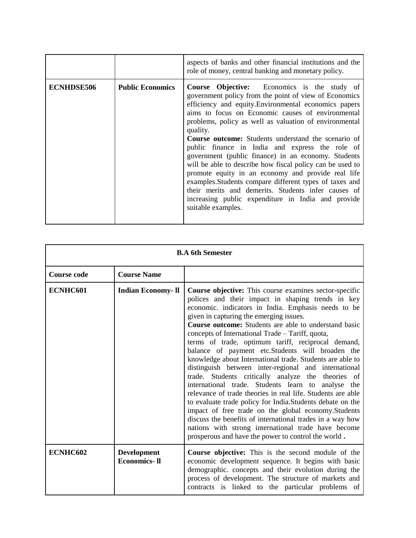|            |                         | aspects of banks and other financial institutions and the<br>role of money, central banking and monetary policy.                                                                                                                                                                                                                                                                                                                                                                                                                                                                                                                                                                                                                                                                         |
|------------|-------------------------|------------------------------------------------------------------------------------------------------------------------------------------------------------------------------------------------------------------------------------------------------------------------------------------------------------------------------------------------------------------------------------------------------------------------------------------------------------------------------------------------------------------------------------------------------------------------------------------------------------------------------------------------------------------------------------------------------------------------------------------------------------------------------------------|
| ECNHDSE506 | <b>Public Economics</b> | <b>Course Objective:</b> Economics is the study of<br>government policy from the point of view of Economics<br>efficiency and equity. Environmental economics papers<br>aims to focus on Economic causes of environmental<br>problems, policy as well as valuation of environmental<br>quality.<br><b>Course outcome:</b> Students understand the scenario of<br>public finance in India and express the role of<br>government (public finance) in an economy. Students<br>will be able to describe how fiscal policy can be used to<br>promote equity in an economy and provide real life<br>examples. Students compare different types of taxes and<br>their merits and demerits. Students infer causes of<br>increasing public expenditure in India and provide<br>suitable examples. |

| <b>B.A 6th Semester</b> |                                           |                                                                                                                                                                                                                                                                                                                                                                                                                                                                                                                                                                                                                                                                                                                                                                                                                                                                                                                                                                                                                                                       |
|-------------------------|-------------------------------------------|-------------------------------------------------------------------------------------------------------------------------------------------------------------------------------------------------------------------------------------------------------------------------------------------------------------------------------------------------------------------------------------------------------------------------------------------------------------------------------------------------------------------------------------------------------------------------------------------------------------------------------------------------------------------------------------------------------------------------------------------------------------------------------------------------------------------------------------------------------------------------------------------------------------------------------------------------------------------------------------------------------------------------------------------------------|
| <b>Course code</b>      | <b>Course Name</b>                        |                                                                                                                                                                                                                                                                                                                                                                                                                                                                                                                                                                                                                                                                                                                                                                                                                                                                                                                                                                                                                                                       |
| ECNHC601                | <b>Indian Economy- Il</b>                 | <b>Course objective:</b> This course examines sector-specific<br>polices and their impact in shaping trends in key<br>economic. indicators in India. Emphasis needs to be<br>given in capturing the emerging issues.<br><b>Course outcome:</b> Students are able to understand basic<br>concepts of International Trade – Tariff, quota,<br>terms of trade, optimum tariff, reciprocal demand,<br>balance of payment etc.Students will broaden the<br>knowledge about International trade. Students are able to<br>distinguish between inter-regional and international<br>trade. Students critically analyze the theories of<br>international trade. Students learn to analyse<br>the<br>relevance of trade theories in real life. Students are able<br>to evaluate trade policy for India. Students debate on the<br>impact of free trade on the global economy.Students<br>discuss the benefits of international trades in a way how<br>nations with strong international trade have become<br>prosperous and have the power to control the world. |
| ECNHC602                | <b>Development</b><br><b>Economics-II</b> | Course objective: This is the second module of the<br>economic development sequence. It begins with basic<br>demographic. concepts and their evolution during the<br>process of development. The structure of markets and<br>contracts is linked to the particular problems of                                                                                                                                                                                                                                                                                                                                                                                                                                                                                                                                                                                                                                                                                                                                                                        |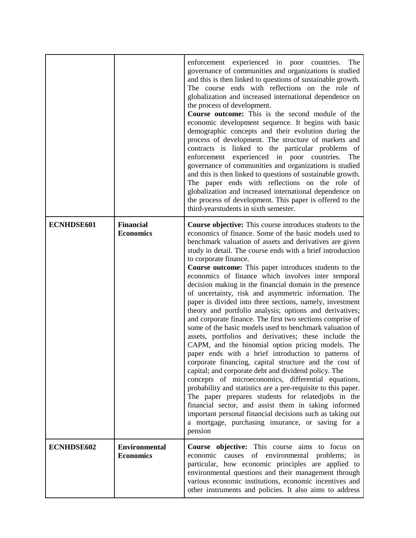|            |                                          | enforcement experienced in poor countries.<br>The<br>governance of communities and organizations is studied<br>and this is then linked to questions of sustainable growth.<br>The course ends with reflections on the role of<br>globalization and increased international dependence on<br>the process of development.<br>Course outcome: This is the second module of the<br>economic development sequence. It begins with basic<br>demographic concepts and their evolution during the<br>process of development. The structure of markets and<br>contracts is linked to the particular problems of<br>enforcement experienced in poor countries.<br>The<br>governance of communities and organizations is studied<br>and this is then linked to questions of sustainable growth.<br>The paper ends with reflections on the role of<br>globalization and increased international dependence on<br>the process of development. This paper is offered to the                                                                                                                                                                                                                                                                                                                                                                                                                                                                                                   |
|------------|------------------------------------------|-----------------------------------------------------------------------------------------------------------------------------------------------------------------------------------------------------------------------------------------------------------------------------------------------------------------------------------------------------------------------------------------------------------------------------------------------------------------------------------------------------------------------------------------------------------------------------------------------------------------------------------------------------------------------------------------------------------------------------------------------------------------------------------------------------------------------------------------------------------------------------------------------------------------------------------------------------------------------------------------------------------------------------------------------------------------------------------------------------------------------------------------------------------------------------------------------------------------------------------------------------------------------------------------------------------------------------------------------------------------------------------------------------------------------------------------------------------------|
| ECNHDSE601 | <b>Financial</b><br><b>Economics</b>     | third-yearstudents in sixth semester.<br><b>Course objective:</b> This course introduces students to the<br>economics of finance. Some of the basic models used to<br>benchmark valuation of assets and derivatives are given<br>study in detail. The course ends with a brief introduction<br>to corporate finance.<br>Course outcome: This paper introduces students to the<br>economics of finance which involves inter temporal<br>decision making in the financial domain in the presence<br>of uncertainty, risk and asymmetric information. The<br>paper is divided into three sections, namely, investment<br>theory and portfolio analysis; options and derivatives;<br>and corporate finance. The first two sections comprise of<br>some of the basic models used to benchmark valuation of<br>assets, portfolios and derivatives; these include the<br>CAPM, and the binomial option pricing models. The<br>paper ends with a brief introduction to patterns of<br>corporate financing, capital structure and the cost of<br>capital; and corporate debt and dividend policy. The<br>concepts of microeconomics, differential equations,<br>probability and statistics are a pre-requisite to this paper.<br>The paper prepares students for relatedjobs in the<br>financial sector, and assist them in taking informed<br>important personal financial decisions such as taking out<br>a mortgage, purchasing insurance, or saving for a<br>pension |
| ECNHDSE602 | <b>Environmental</b><br><b>Economics</b> | Course objective: This course aims to focus<br>on<br>economic causes of environmental<br>problems;<br>in<br>particular, how economic principles are applied to<br>environmental questions and their management through<br>various economic institutions, economic incentives and<br>other instruments and policies. It also aims to address                                                                                                                                                                                                                                                                                                                                                                                                                                                                                                                                                                                                                                                                                                                                                                                                                                                                                                                                                                                                                                                                                                                     |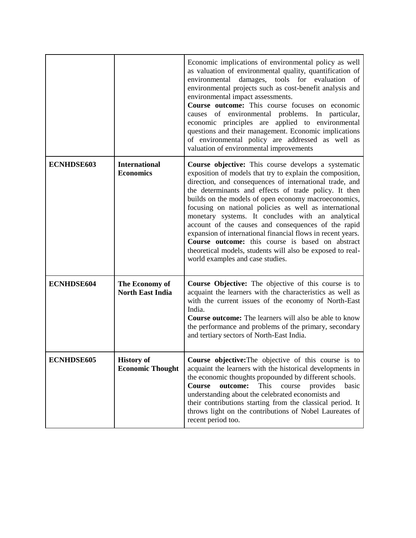|                   |                                              | Economic implications of environmental policy as well<br>as valuation of environmental quality, quantification of<br>tools for evaluation<br>environmental<br>damages,<br>of<br>environmental projects such as cost-benefit analysis and<br>environmental impact assessments.<br>Course outcome: This course focuses on economic<br>causes of environmental problems. In particular,<br>economic principles are applied to environmental<br>questions and their management. Economic implications<br>of environmental policy are addressed as well as<br>valuation of environmental improvements                                                                                                      |
|-------------------|----------------------------------------------|-------------------------------------------------------------------------------------------------------------------------------------------------------------------------------------------------------------------------------------------------------------------------------------------------------------------------------------------------------------------------------------------------------------------------------------------------------------------------------------------------------------------------------------------------------------------------------------------------------------------------------------------------------------------------------------------------------|
| <b>ECNHDSE603</b> | <b>International</b><br><b>Economics</b>     | <b>Course objective:</b> This course develops a systematic<br>exposition of models that try to explain the composition,<br>direction, and consequences of international trade, and<br>the determinants and effects of trade policy. It then<br>builds on the models of open economy macroeconomics,<br>focusing on national policies as well as international<br>monetary systems. It concludes with an analytical<br>account of the causes and consequences of the rapid<br>expansion of international financial flows in recent years.<br><b>Course outcome:</b> this course is based on abstract<br>theoretical models, students will also be exposed to real-<br>world examples and case studies. |
| <b>ECNHDSE604</b> | The Economy of<br><b>North East India</b>    | Course Objective: The objective of this course is to<br>acquaint the learners with the characteristics as well as<br>with the current issues of the economy of North-East<br>India.<br>Course outcome: The learners will also be able to know<br>the performance and problems of the primary, secondary<br>and tertiary sectors of North-East India.                                                                                                                                                                                                                                                                                                                                                  |
| <b>ECNHDSE605</b> | <b>History of</b><br><b>Economic Thought</b> | Course objective: The objective of this course is to<br>acquaint the learners with the historical developments in<br>the economic thoughts propounded by different schools.<br>Course<br>outcome:<br>This<br>course<br>provides<br>basic<br>understanding about the celebrated economists and<br>their contributions starting from the classical period. It<br>throws light on the contributions of Nobel Laureates of<br>recent period too.                                                                                                                                                                                                                                                          |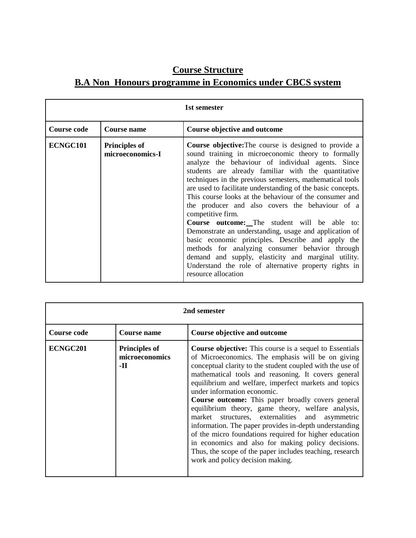## **Course Structure**

# **B.A Non Honours programme in Economics under CBCS system**

| 1st semester       |                                          |                                                                                                                                                                                                                                                                                                                                                                                                                                                                                                                                                                                                                                                                                                                                                                                                                                                             |
|--------------------|------------------------------------------|-------------------------------------------------------------------------------------------------------------------------------------------------------------------------------------------------------------------------------------------------------------------------------------------------------------------------------------------------------------------------------------------------------------------------------------------------------------------------------------------------------------------------------------------------------------------------------------------------------------------------------------------------------------------------------------------------------------------------------------------------------------------------------------------------------------------------------------------------------------|
| <b>Course code</b> | Course name                              | Course objective and outcome                                                                                                                                                                                                                                                                                                                                                                                                                                                                                                                                                                                                                                                                                                                                                                                                                                |
| ECNGC101           | <b>Principles of</b><br>microeconomics-I | <b>Course objective:</b> The course is designed to provide a<br>sound training in microeconomic theory to formally<br>analyze the behaviour of individual agents. Since<br>students are already familiar with the quantitative<br>techniques in the previous semesters, mathematical tools<br>are used to facilitate understanding of the basic concepts.<br>This course looks at the behaviour of the consumer and<br>the producer and also covers the behaviour of a<br>competitive firm.<br><b>Course outcome:</b> The student will be able to:<br>Demonstrate an understanding, usage and application of<br>basic economic principles. Describe and apply the<br>methods for analyzing consumer behavior through<br>demand and supply, elasticity and marginal utility.<br>Understand the role of alternative property rights in<br>resource allocation |

| 2nd semester       |                                               |                                                                                                                                                                                                                                                                                                                                                                                                                                                                                                                                                                                                                                                                                                                                                                         |
|--------------------|-----------------------------------------------|-------------------------------------------------------------------------------------------------------------------------------------------------------------------------------------------------------------------------------------------------------------------------------------------------------------------------------------------------------------------------------------------------------------------------------------------------------------------------------------------------------------------------------------------------------------------------------------------------------------------------------------------------------------------------------------------------------------------------------------------------------------------------|
| <b>Course code</b> | <b>Course name</b>                            | Course objective and outcome                                                                                                                                                                                                                                                                                                                                                                                                                                                                                                                                                                                                                                                                                                                                            |
| ECNGC201           | <b>Principles of</b><br>microeconomics<br>-11 | <b>Course objective:</b> This course is a sequel to Essentials<br>of Microeconomics. The emphasis will be on giving<br>conceptual clarity to the student coupled with the use of<br>mathematical tools and reasoning. It covers general<br>equilibrium and welfare, imperfect markets and topics<br>under information economic.<br>Course outcome: This paper broadly covers general<br>equilibrium theory, game theory, welfare analysis,<br>market structures, externalities and asymmetric<br>information. The paper provides in-depth understanding<br>of the micro foundations required for higher education<br>in economics and also for making policy decisions.<br>Thus, the scope of the paper includes teaching, research<br>work and policy decision making. |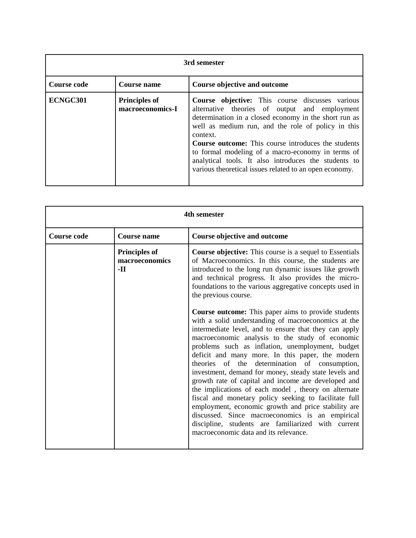| 3rd semester       |                                          |                                                                                                                                                                                                                                                                                                                                                                                                                                                                         |
|--------------------|------------------------------------------|-------------------------------------------------------------------------------------------------------------------------------------------------------------------------------------------------------------------------------------------------------------------------------------------------------------------------------------------------------------------------------------------------------------------------------------------------------------------------|
| <b>Course code</b> | <b>Course name</b>                       | Course objective and outcome                                                                                                                                                                                                                                                                                                                                                                                                                                            |
| ECNGC301           | <b>Principles of</b><br>macroeconomics-I | <b>Course objective:</b> This course discusses various<br>alternative theories of output and employment<br>determination in a closed economy in the short run as<br>well as medium run, and the role of policy in this<br>context.<br><b>Course outcome:</b> This course introduces the students<br>to formal modeling of a macro-economy in terms of<br>analytical tools. It also introduces the students to<br>various theoretical issues related to an open economy. |

| 4th semester       |                                                 |                                                                                                                                                                                                                                                                                                                                                                                                                                                                                                                                                                                                                                                                                                                                                                                                                                                                                                                                                                                                                                                                                                                                                             |
|--------------------|-------------------------------------------------|-------------------------------------------------------------------------------------------------------------------------------------------------------------------------------------------------------------------------------------------------------------------------------------------------------------------------------------------------------------------------------------------------------------------------------------------------------------------------------------------------------------------------------------------------------------------------------------------------------------------------------------------------------------------------------------------------------------------------------------------------------------------------------------------------------------------------------------------------------------------------------------------------------------------------------------------------------------------------------------------------------------------------------------------------------------------------------------------------------------------------------------------------------------|
| <b>Course code</b> | <b>Course name</b>                              | Course objective and outcome                                                                                                                                                                                                                                                                                                                                                                                                                                                                                                                                                                                                                                                                                                                                                                                                                                                                                                                                                                                                                                                                                                                                |
|                    | <b>Principles of</b><br>macroeconomics<br>$-II$ | <b>Course objective:</b> This course is a sequel to Essentials<br>of Macroeconomics. In this course, the students are<br>introduced to the long run dynamic issues like growth<br>and technical progress. It also provides the micro-<br>foundations to the various aggregative concepts used in<br>the previous course.<br><b>Course outcome:</b> This paper aims to provide students<br>with a solid understanding of macroeconomics at the<br>intermediate level, and to ensure that they can apply<br>macroeconomic analysis to the study of economic<br>problems such as inflation, unemployment, budget<br>deficit and many more. In this paper, the modern<br>theories of the determination of consumption,<br>investment, demand for money, steady state levels and<br>growth rate of capital and income are developed and<br>the implications of each model, theory on alternate<br>fiscal and monetary policy seeking to facilitate full<br>employment, economic growth and price stability are<br>discussed. Since macroeconomics is an empirical<br>discipline, students are familiarized with current<br>macroeconomic data and its relevance. |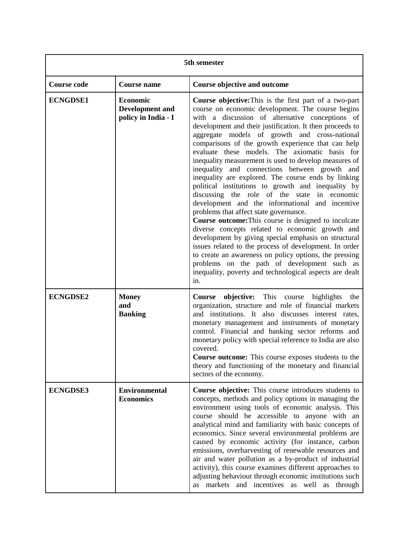| 5th semester       |                                                                  |                                                                                                                                                                                                                                                                                                                                                                                                                                                                                                                                                                                                                                                                                                                                                                                                                                                                                                                                                                                                                                                                                                                                                                        |
|--------------------|------------------------------------------------------------------|------------------------------------------------------------------------------------------------------------------------------------------------------------------------------------------------------------------------------------------------------------------------------------------------------------------------------------------------------------------------------------------------------------------------------------------------------------------------------------------------------------------------------------------------------------------------------------------------------------------------------------------------------------------------------------------------------------------------------------------------------------------------------------------------------------------------------------------------------------------------------------------------------------------------------------------------------------------------------------------------------------------------------------------------------------------------------------------------------------------------------------------------------------------------|
| <b>Course code</b> | <b>Course name</b>                                               | <b>Course objective and outcome</b>                                                                                                                                                                                                                                                                                                                                                                                                                                                                                                                                                                                                                                                                                                                                                                                                                                                                                                                                                                                                                                                                                                                                    |
| <b>ECNGDSE1</b>    | <b>Economic</b><br><b>Development</b> and<br>policy in India - I | <b>Course objective:</b> This is the first part of a two-part<br>course on economic development. The course begins<br>with a discussion of alternative conceptions of<br>development and their justification. It then proceeds to<br>aggregate models of growth and cross-national<br>comparisons of the growth experience that can help<br>evaluate these models. The axiomatic basis for<br>inequality measurement is used to develop measures of<br>inequality and connections between growth and<br>inequality are explored. The course ends by linking<br>political institutions to growth and inequality by<br>discussing the role of the state in economic<br>development and the informational and incentive<br>problems that affect state governance.<br>Course outcome: This course is designed to inculcate<br>diverse concepts related to economic growth and<br>development by giving special emphasis on structural<br>issues related to the process of development. In order<br>to create an awareness on policy options, the pressing<br>problems on the path of development such as<br>inequality, poverty and technological aspects are dealt<br>in. |
| <b>ECNGDSE2</b>    | <b>Money</b><br>and<br><b>Banking</b>                            | Course objective: This course highlights<br>the<br>organization, structure and role of financial markets<br>and institutions. It also discusses interest rates,<br>monetary management and instruments of monetary<br>control. Financial and banking sector reforms and<br>monetary policy with special reference to India are also<br>covered.<br>Course outcome: This course exposes students to the<br>theory and functioning of the monetary and financial<br>sectors of the economy.                                                                                                                                                                                                                                                                                                                                                                                                                                                                                                                                                                                                                                                                              |
| <b>ECNGDSE3</b>    | <b>Environmental</b><br><b>Economics</b>                         | Course objective: This course introduces students to<br>concepts, methods and policy options in managing the<br>environment using tools of economic analysis. This<br>course should be accessible to anyone with an<br>analytical mind and familiarity with basic concepts of<br>economics. Since several environmental problems are<br>caused by economic activity (for instance, carbon<br>emissions, overharvesting of renewable resources and<br>air and water pollution as a by-product of industrial<br>activity), this course examines different approaches to<br>adjusting behaviour through economic institutions such<br>as markets and incentives as well as<br>through                                                                                                                                                                                                                                                                                                                                                                                                                                                                                     |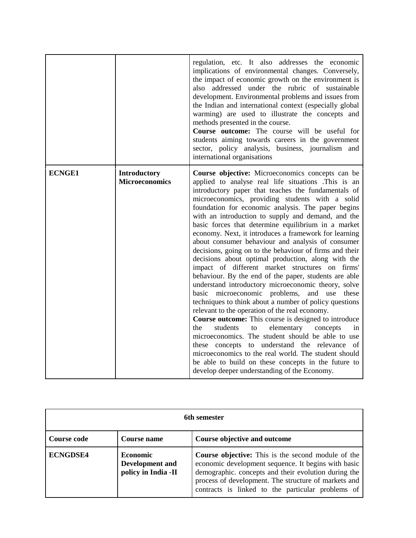|               |                                              | regulation, etc. It also addresses the economic<br>implications of environmental changes. Conversely,<br>the impact of economic growth on the environment is<br>addressed under the rubric of sustainable<br>also<br>development. Environmental problems and issues from<br>the Indian and international context (especially global<br>warming) are used to illustrate the concepts and<br>methods presented in the course.<br><b>Course outcome:</b> The course will be useful for<br>students aiming towards careers in the government<br>sector, policy analysis, business, journalism and<br>international organisations                                                                                                                                                                                                                                                                                                                                                                                                                                                                                                                                                                                                                                                                                                                         |
|---------------|----------------------------------------------|------------------------------------------------------------------------------------------------------------------------------------------------------------------------------------------------------------------------------------------------------------------------------------------------------------------------------------------------------------------------------------------------------------------------------------------------------------------------------------------------------------------------------------------------------------------------------------------------------------------------------------------------------------------------------------------------------------------------------------------------------------------------------------------------------------------------------------------------------------------------------------------------------------------------------------------------------------------------------------------------------------------------------------------------------------------------------------------------------------------------------------------------------------------------------------------------------------------------------------------------------------------------------------------------------------------------------------------------------|
| <b>ECNGE1</b> | <b>Introductory</b><br><b>Microeconomics</b> | <b>Course objective:</b> Microeconomics concepts can be<br>applied to analyse real life situations .This is an<br>introductory paper that teaches the fundamentals of<br>microeconomics, providing students with a solid<br>foundation for economic analysis. The paper begins<br>with an introduction to supply and demand, and the<br>basic forces that determine equilibrium in a market<br>economy. Next, it introduces a framework for learning<br>about consumer behaviour and analysis of consumer<br>decisions, going on to the behaviour of firms and their<br>decisions about optimal production, along with the<br>impact of different market structures on firms'<br>behaviour. By the end of the paper, students are able<br>understand introductory microeconomic theory, solve<br>basic microeconomic problems,<br>and use these<br>techniques to think about a number of policy questions<br>relevant to the operation of the real economy.<br>Course outcome: This course is designed to introduce<br>the<br>students<br>elementary<br>to<br>concepts<br>in<br>microeconomics. The student should be able to use<br>these concepts to understand the relevance<br>of<br>microeconomics to the real world. The student should<br>be able to build on these concepts in the future to<br>develop deeper understanding of the Economy. |

| 6th semester    |                                                                  |                                                                                                                                                                                                                                                                                       |
|-----------------|------------------------------------------------------------------|---------------------------------------------------------------------------------------------------------------------------------------------------------------------------------------------------------------------------------------------------------------------------------------|
| Course code     | <b>Course name</b>                                               | Course objective and outcome                                                                                                                                                                                                                                                          |
| <b>ECNGDSE4</b> | <b>Economic</b><br><b>Development</b> and<br>policy in India -II | <b>Course objective:</b> This is the second module of the<br>economic development sequence. It begins with basic<br>demographic. concepts and their evolution during the<br>process of development. The structure of markets and<br>contracts is linked to the particular problems of |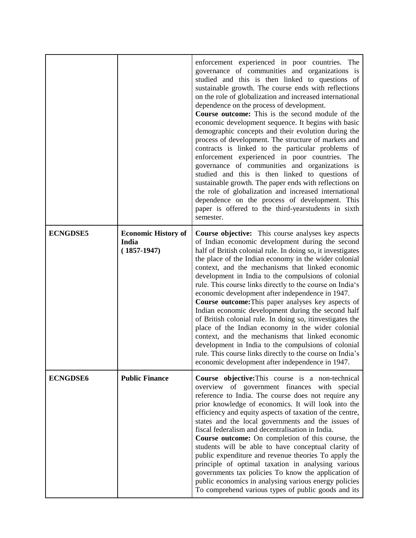|                 |                                                      | enforcement experienced in poor countries. The<br>governance of communities and organizations is<br>studied and this is then linked to questions of<br>sustainable growth. The course ends with reflections<br>on the role of globalization and increased international<br>dependence on the process of development.<br><b>Course outcome:</b> This is the second module of the<br>economic development sequence. It begins with basic<br>demographic concepts and their evolution during the<br>process of development. The structure of markets and<br>contracts is linked to the particular problems of<br>enforcement experienced in poor countries. The<br>governance of communities and organizations is<br>studied and this is then linked to questions of<br>sustainable growth. The paper ends with reflections on<br>the role of globalization and increased international<br>dependence on the process of development. This<br>paper is offered to the third-yearstudents in sixth<br>semester. |
|-----------------|------------------------------------------------------|------------------------------------------------------------------------------------------------------------------------------------------------------------------------------------------------------------------------------------------------------------------------------------------------------------------------------------------------------------------------------------------------------------------------------------------------------------------------------------------------------------------------------------------------------------------------------------------------------------------------------------------------------------------------------------------------------------------------------------------------------------------------------------------------------------------------------------------------------------------------------------------------------------------------------------------------------------------------------------------------------------|
| <b>ECNGDSE5</b> | <b>Economic History of</b><br>India<br>$(1857-1947)$ | <b>Course objective:</b> This course analyses key aspects<br>of Indian economic development during the second<br>half of British colonial rule. In doing so, it investigates<br>the place of the Indian economy in the wider colonial<br>context, and the mechanisms that linked economic<br>development in India to the compulsions of colonial<br>rule. This course links directly to the course on India's<br>economic development after independence in 1947.<br>Course outcome: This paper analyses key aspects of<br>Indian economic development during the second half<br>of British colonial rule. In doing so, itinvestigates the<br>place of the Indian economy in the wider colonial<br>context, and the mechanisms that linked economic<br>development in India to the compulsions of colonial<br>rule. This course links directly to the course on India's<br>economic development after independence in 1947.                                                                                |
| <b>ECNGDSE6</b> | <b>Public Finance</b>                                | Course objective: This course is a non-technical<br>overview of government finances with special<br>reference to India. The course does not require any<br>prior knowledge of economics. It will look into the<br>efficiency and equity aspects of taxation of the centre,<br>states and the local governments and the issues of<br>fiscal federalism and decentralisation in India.<br>Course outcome: On completion of this course, the<br>students will be able to have conceptual clarity of<br>public expenditure and revenue theories To apply the<br>principle of optimal taxation in analysing various<br>governments tax policies To know the application of<br>public economics in analysing various energy policies<br>To comprehend various types of public goods and its                                                                                                                                                                                                                      |